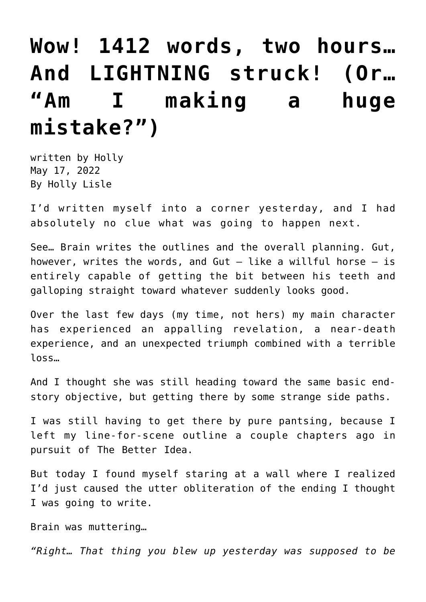## **[Wow! 1412 words, two hours…](https://hollylisle.com/wow-1412-words-two-hours-and-lightning-struck-or-am-i-making-a-huge-mistake/) [And LIGHTNING struck! \(Or…](https://hollylisle.com/wow-1412-words-two-hours-and-lightning-struck-or-am-i-making-a-huge-mistake/) ["Am I making a huge](https://hollylisle.com/wow-1412-words-two-hours-and-lightning-struck-or-am-i-making-a-huge-mistake/) [mistake?"\)](https://hollylisle.com/wow-1412-words-two-hours-and-lightning-struck-or-am-i-making-a-huge-mistake/)**

written by Holly May 17, 2022 [By Holly Lisle](https://hollylisle.com)

I'd written myself into a corner yesterday, and I had absolutely no clue what was going to happen next.

See… Brain writes the outlines and the overall planning. Gut, however, writes the words, and Gut  $-$  like a willful horse  $-$  is entirely capable of getting the bit between his teeth and galloping straight toward whatever suddenly looks good.

Over the last few days (my time, not hers) my main character has experienced an appalling revelation, a near-death experience, and an unexpected triumph combined with a terrible loss…

And I thought she was still heading toward the same basic endstory objective, but getting there by some strange side paths.

I was still having to get there by pure pantsing, because I left my line-for-scene outline a couple chapters ago in pursuit of The Better Idea.

But today I found myself staring at a wall where I realized I'd just caused the utter obliteration of the ending I thought I was going to write.

Brain was muttering…

*"Right… That thing you blew up yesterday was supposed to be*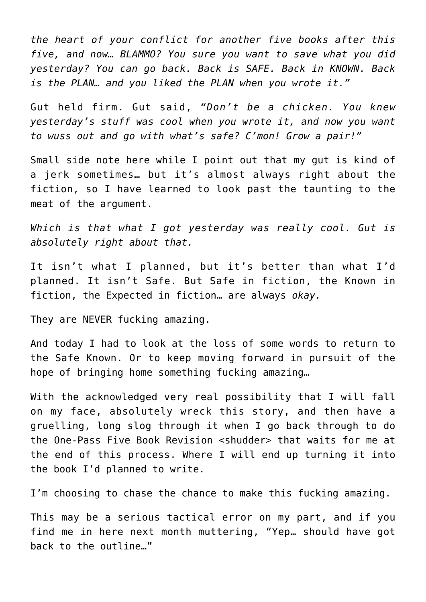*the heart of your conflict for another five books after this five, and now… BLAMMO? You sure you want to save what you did yesterday? You can go back. Back is SAFE. Back in KNOWN. Back is the PLAN… and you liked the PLAN when you wrote it."*

Gut held firm. Gut said, *"Don't be a chicken. You knew yesterday's stuff was cool when you wrote it, and now you want to wuss out and go with what's safe? C'mon! Grow a pair!"* 

Small side note here while I point out that my gut is kind of a jerk sometimes… but it's almost always right about the fiction, so I have learned to look past the taunting to the meat of the argument.

*Which is that what I got yesterday was really cool. Gut is absolutely right about that.*

It isn't what I planned, but it's better than what I'd planned. It isn't Safe. But Safe in fiction, the Known in fiction, the Expected in fiction… are always *okay.*

They are NEVER fucking amazing.

And today I had to look at the loss of some words to return to the Safe Known. Or to keep moving forward in pursuit of the hope of bringing home something fucking amazing…

With the acknowledged very real possibility that I will fall on my face, absolutely wreck this story, and then have a gruelling, long slog through it when I go back through to do the One-Pass Five Book Revision <shudder> that waits for me at the end of this process. Where I will end up turning it into the book I'd planned to write.

I'm choosing to chase the chance to make this fucking amazing.

This may be a serious tactical error on my part, and if you find me in here next month muttering, "Yep… should have got back to the outline…"